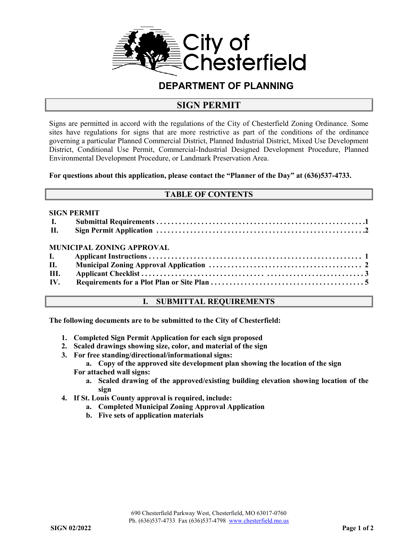

## **DEPARTMENT OF PLANNING**

## **SIGN PERMIT**

Signs are permitted in accord with the regulations of the City of Chesterfield Zoning Ordinance. Some sites have regulations for signs that are more restrictive as part of the conditions of the ordinance governing a particular Planned Commercial District, Planned Industrial District, Mixed Use Development District, Conditional Use Permit, Commercial-Industrial Designed Development Procedure, Planned Environmental Development Procedure, or Landmark Preservation Area.

#### **For questions about this application, please contact the "Planner of the Day" at (636)537-4733.**

#### **TABLE OF CONTENTS**

#### **SIGN PERMIT**

| II. |                           |  |
|-----|---------------------------|--|
|     | MUNICIPAL ZONING APPROVAL |  |
|     |                           |  |
|     |                           |  |
| Ш.  |                           |  |
|     |                           |  |

### **I. SUBMITTAL REQUIREMENTS**

**The following documents are to be submitted to the City of Chesterfield:** 

- **1. Completed Sign Permit Application for each sign proposed**
- **2. Scaled drawings showing size, color, and material of the sign**
- **3. For free standing/directional/informational signs:** 
	- **a. Copy of the approved site development plan showing the location of the sign For attached wall signs:** 
		- **a. Scaled drawing of the approved/existing building elevation showing location of the sign**
- **4. If St. Louis County approval is required, include:** 
	- **a. Completed Municipal Zoning Approval Application**
	- **b. Five sets of application materials**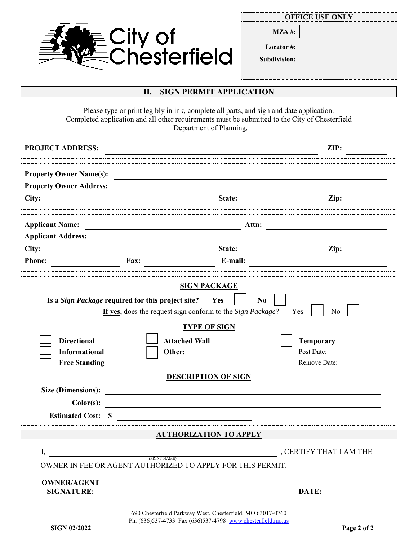

**MZA #:**

**Locator #:**

**Subdivision:**

### **II. SIGN PERMIT APPLICATION**

Please type or print legibly in ink, complete all parts, and sign and date application. Completed application and all other requirements must be submitted to the City of Chesterfield Department of Planning.

| <b>PROJECT ADDRESS:</b>                                                                                                                                                                                                                                                                                                                                                                                                                                                                                                                                                                     |                                                                                                                          | ZIP:                             |  |  |  |  |
|---------------------------------------------------------------------------------------------------------------------------------------------------------------------------------------------------------------------------------------------------------------------------------------------------------------------------------------------------------------------------------------------------------------------------------------------------------------------------------------------------------------------------------------------------------------------------------------------|--------------------------------------------------------------------------------------------------------------------------|----------------------------------|--|--|--|--|
| <b>Property Owner Name(s):</b><br><b>Property Owner Address:</b>                                                                                                                                                                                                                                                                                                                                                                                                                                                                                                                            |                                                                                                                          |                                  |  |  |  |  |
| City:<br><u>a sa barang sa mga sangang nagarang nagarang nagarang nagarang nagarang nagarang nagarang nagarang nagarang na</u>                                                                                                                                                                                                                                                                                                                                                                                                                                                              | State:                                                                                                                   | $\mathbf{Zip:}$                  |  |  |  |  |
| <b>Applicant Name:</b>                                                                                                                                                                                                                                                                                                                                                                                                                                                                                                                                                                      | Attn:                                                                                                                    |                                  |  |  |  |  |
| <b>Applicant Address:</b>                                                                                                                                                                                                                                                                                                                                                                                                                                                                                                                                                                   |                                                                                                                          |                                  |  |  |  |  |
| City:                                                                                                                                                                                                                                                                                                                                                                                                                                                                                                                                                                                       | State:                                                                                                                   | Zip:                             |  |  |  |  |
| <b>Phone:</b><br>Fax:                                                                                                                                                                                                                                                                                                                                                                                                                                                                                                                                                                       | E-mail:                                                                                                                  |                                  |  |  |  |  |
| <b>SIGN PACKAGE</b><br>Is a <i>Sign Package</i> required for this project site?<br>Yes<br>N <sub>0</sub><br>If yes, does the request sign conform to the Sign Package?<br>Yes<br>N <sub>0</sub><br><b>TYPE OF SIGN</b><br><b>Directional</b><br><b>Attached Wall</b><br><b>Temporary</b><br>Post Date:<br><b>Informational</b><br>Other:<br><b>Free Standing</b><br>Remove Date:<br><b>DESCRIPTION OF SIGN</b><br>Color(s):<br><u> 1989 - Johann Barn, fransk politik formuler (d. 1989)</u><br><b>Estimated Cost:</b><br>$\mathbf{\hat{s}}$<br><u> 1980 - Jan Barbara Barbara, masa ka</u> |                                                                                                                          |                                  |  |  |  |  |
|                                                                                                                                                                                                                                                                                                                                                                                                                                                                                                                                                                                             | <b>AUTHORIZATION TO APPLY</b>                                                                                            |                                  |  |  |  |  |
| I,<br><b>OWNER/AGENT</b><br><b>SIGNATURE:</b>                                                                                                                                                                                                                                                                                                                                                                                                                                                                                                                                               | $\frac{1}{\text{(PRINT NAME)}}$<br>OWNER IN FEE OR AGENT AUTHORIZED TO APPLY FOR THIS PERMIT.                            | , CERTIFY THAT I AM THE<br>DATE: |  |  |  |  |
|                                                                                                                                                                                                                                                                                                                                                                                                                                                                                                                                                                                             | 690 Chesterfield Parkway West, Chesterfield, MO 63017-0760<br>Ph. (636)537-4733 Fax (636)537-4798 www.chesterfield.mo.us |                                  |  |  |  |  |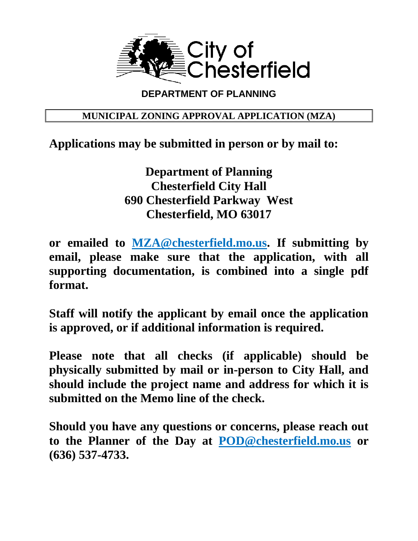

# **DEPARTMENT OF PLANNING**

## **MUNICIPAL ZONING APPROVAL APPLICATION (MZA)**

# **Applications may be submitted in person or by mail to:**

**Department of Planning Chesterfield City Hall 690 Chesterfield Parkway West Chesterfield, MO 63017**

**or emailed to [MZA@chesterfield.mo.us.](mailto:MZA@chesterfield.mo.us) If submitting by email, please make sure that the application, with all supporting documentation, is combined into a single pdf format.**

**Staff will notify the applicant by email once the application is approved, or if additional information is required.**

**Please note that all checks (if applicable) should be physically submitted by mail or in-person to City Hall, and should include the project name and address for which it is submitted on the Memo line of the check.**

**Should you have any questions or concerns, please reach out to the Planner of the Day at [POD@chesterfield.mo.us](mailto:POD@chesterfield.mo.us) or (636) 537-4733.**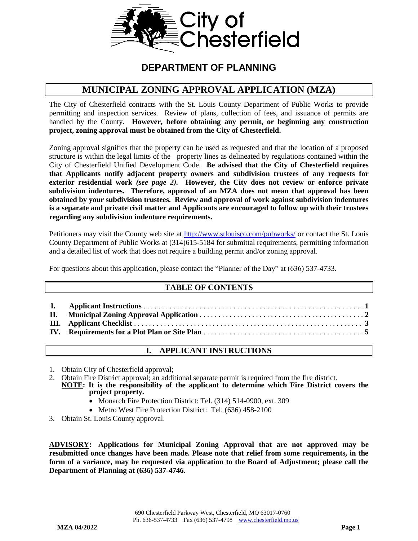

## **DEPARTMENT OF PLANNING**

## **MUNICIPAL ZONING APPROVAL APPLICATION (MZA)**

The City of Chesterfield contracts with the St. Louis County Department of Public Works to provide permitting and inspection services. Review of plans, collection of fees, and issuance of permits are handled by the County. **However, before obtaining any permit, or beginning any construction project, zoning approval must be obtained from the City of Chesterfield.**

Zoning approval signifies that the property can be used as requested and that the location of a proposed structure is within the legal limits of the property lines as delineated by regulations contained within the City of Chesterfield Unified Development Code. **Be advised that the City of Chesterfield requires that Applicants notify adjacent property owners and subdivision trustees of any requests for exterior residential work** *(see page 2).* **However, the City does not review or enforce private subdivision indentures. Therefore, approval of an MZA does not mean that approval has been obtained by your subdivision trustees. Review and approval of work against subdivision indentures is a separate and private civil matter and Applicants are encouraged to follow up with their trustees regarding any subdivision indenture requirements.** 

Petitioners may visit the County web site at<http://www.stlouisco.com/pubworks/> or contact the St. Louis County Department of Public Works at (314)615-5184 for submittal requirements, permitting information and a detailed list of work that does not require a building permit and/or zoning approval.

For questions about this application, please contact the "Planner of the Day" at (636) 537-4733.

## **TABLE OF CONTENTS**

## **I. APPLICANT INSTRUCTIONS**

- 1. Obtain City of Chesterfield approval;
- 2. Obtain Fire District approval; an additional separate permit is required from the fire district.
- **NOTE: It is the responsibility of the applicant to determine which Fire District covers the project property.**
	- Monarch Fire Protection District: Tel. (314) 514-0900, ext. 309
	- Metro West Fire Protection District: Tel. (636) 458-2100
- 3. Obtain St. Louis County approval.

**ADVISORY: Applications for Municipal Zoning Approval that are not approved may be resubmitted once changes have been made. Please note that relief from some requirements, in the form of a variance, may be requested via application to the Board of Adjustment; please call the Department of Planning at (636) 537-4746.**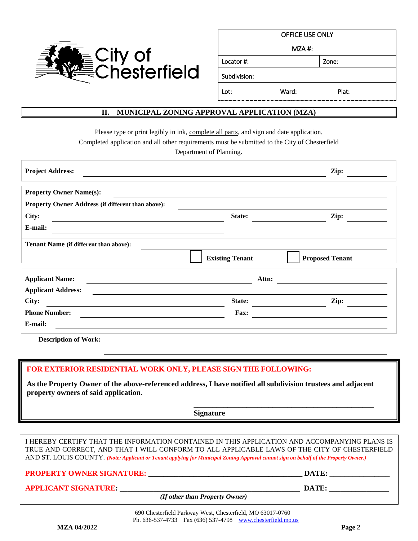

| OFFICE USE ONLY |       |       |  |  |
|-----------------|-------|-------|--|--|
| $MZA$ #:        |       |       |  |  |
| Locator#:       |       | Zone: |  |  |
| Subdivision:    |       |       |  |  |
| Lot:            | Ward: | Plat: |  |  |

## **II. MUNICIPAL ZONING APPROVAL APPLICATION (MZA)**

Please type or print legibly in ink, complete all parts, and sign and date application.

Completed application and all other requirements must be submitted to the City of Chesterfield

Department of Planning.

| <b>Project Address:</b>                           |                        | Zip:                   |
|---------------------------------------------------|------------------------|------------------------|
| <b>Property Owner Name(s):</b>                    |                        |                        |
| Property Owner Address (if different than above): |                        |                        |
| City:                                             | State:                 | Zip:                   |
| E-mail:                                           |                        |                        |
| Tenant Name (if different than above):            | <b>Existing Tenant</b> | <b>Proposed Tenant</b> |
| <b>Applicant Name:</b>                            | Attn:                  |                        |
| <b>Applicant Address:</b>                         |                        |                        |
| City:                                             | State:                 | Zip:                   |
| <b>Phone Number:</b>                              | Fax:                   |                        |
| E-mail:                                           |                        |                        |

**Description of Work:**

#### **FOR EXTERIOR RESIDENTIAL WORK ONLY, PLEASE SIGN THE FOLLOWING:**

**As the Property Owner of the above-referenced address, I have notified all subdivision trustees and adjacent property owners of said application.**

 **\_\_\_\_\_\_\_\_\_\_\_\_\_\_\_\_\_\_\_\_\_\_\_\_\_\_\_\_\_\_\_\_\_\_\_\_\_\_\_\_\_\_\_\_\_\_\_\_**

**Signature**

I HEREBY CERTIFY THAT THE INFORMATION CONTAINED IN THIS APPLICATION AND ACCOMPANYING PLANS IS TRUE AND CORRECT, AND THAT I WILL CONFORM TO ALL APPLICABLE LAWS OF THE CITY OF CHESTERFIELD AND ST. LOUIS COUNTY. *(Note: Applicant or Tenant applying for Municipal Zoning Approval cannot sign on behalf of the Property Owner.)*

**PROPERTY OWNER SIGNATURE: \_\_\_\_\_\_\_\_\_\_\_\_\_\_\_\_\_\_\_\_\_\_\_\_\_\_\_\_\_\_\_\_\_\_\_\_\_\_\_\_\_ DATE:** \_\_\_\_\_\_\_\_\_\_\_\_\_\_\_\_

## **APPLICANT SIGNATURE: \_\_\_\_\_\_\_\_\_\_\_\_\_\_\_\_\_\_\_\_\_\_\_\_\_\_\_\_\_\_\_\_\_\_\_\_\_\_\_\_\_\_\_\_\_\_\_\_ DATE: \_\_\_\_\_\_\_\_\_\_\_\_\_\_\_\_**

 *(If other than Property Owner)*

 690 Chesterfield Parkway West, Chesterfield, MO 63017-0760 Ph. 636-537-4733 Fax (636) 537-4798 [www.chesterfield.mo.us](http://www.chesterfield.mo.us/)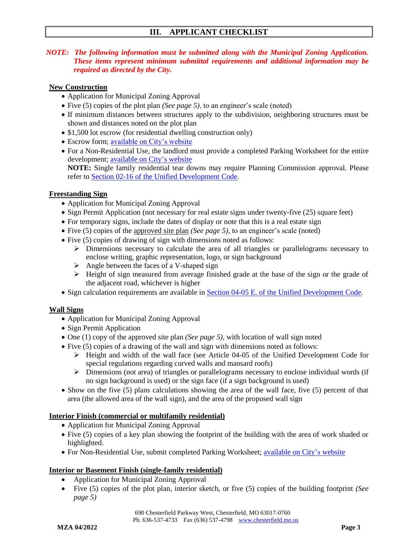## **III. APPLICANT CHECKLIST**

#### *NOTE: The following information must be submitted along with the Municipal Zoning Application. These items represent minimum submittal requirements and additional information may be required as directed by the City.*

#### **New Construction**

- Application for Municipal Zoning Approval
- Five (5) copies of the plot plan *(See page 5)*, to an engineer's scale (noted)
- If minimum distances between structures apply to the subdivision, neighboring structures must be shown and distances noted on the plot plan
- \$1,500 lot escrow (for residential dwelling construction only)
- Escrow form; [available on City's website](https://www.chesterfield.mo.us/webcontent/forms/Planning/Cash_Escrow_Lot_Related_Improvements.pdf)
- For a Non-Residential Use, the landlord must provide a completed Parking Worksheet for the entire development; [available on City's](https://www.chesterfield.mo.us/webcontent/forms/Planning/Parking%20Worksheet.pdf) website **NOTE:** Single family residential tear downs may require Planning Commission approval. Please refer to [Section 02-16 of the Unified Development Code.](https://www.ecode360.com/35256031)

#### **Freestanding Sign**

- Application for Municipal Zoning Approval
- Sign Permit Application (not necessary for real estate signs under twenty-five (25) square feet)
- For temporary signs, include the dates of display or note that this is a real estate sign
- Five (5) copies of the approved site plan *(See page 5)*, to an engineer's scale (noted)
- Five (5) copies of drawing of sign with dimensions noted as follows:
	- ➢ Dimensions necessary to calculate the area of all triangles or parallelograms necessary to enclose writing, graphic representation, logo, or sign background
	- $\triangleright$  Angle between the faces of a V-shaped sign
	- $\triangleright$  Height of sign measured from average finished grade at the base of the sign or the grade of the adjacent road, whichever is higher
- Sign calculation requirements are available in [Section 04-05 E. of the Unified Development Code.](https://www.ecode360.com/35257743)

### **Wall Signs**

- Application for Municipal Zoning Approval
- Sign Permit Application
- One (1) copy of the approved site plan *(See page 5)*, with location of wall sign noted
- Five (5) copies of a drawing of the wall and sign with dimensions noted as follows:
	- ➢ Height and width of the wall face (see Article 04-05 of the Unified Development Code for special regulations regarding curved walls and mansard roofs)
	- ➢ Dimensions (not area) of triangles or parallelograms necessary to enclose individual words (if no sign background is used) or the sign face (if a sign background is used)
- Show on the five (5) plans calculations showing the area of the wall face, five (5) percent of that area (the allowed area of the wall sign), and the area of the proposed wall sign

#### **Interior Finish (commercial or multifamily residential)**

- Application for Municipal Zoning Approval
- Five (5) copies of a key plan showing the footprint of the building with the area of work shaded or highlighted.
- For Non-Residential Use, submit completed Parking Worksheet; [available on City's](https://www.chesterfield.mo.us/webcontent/forms/Planning/Parking%20Worksheet.pdf) website

#### **Interior or Basement Finish (single-family residential)**

- Application for Municipal Zoning Approval
- Five (5) copies of the plot plan, interior sketch, or five (5) copies of the building footprint *(See page 5)*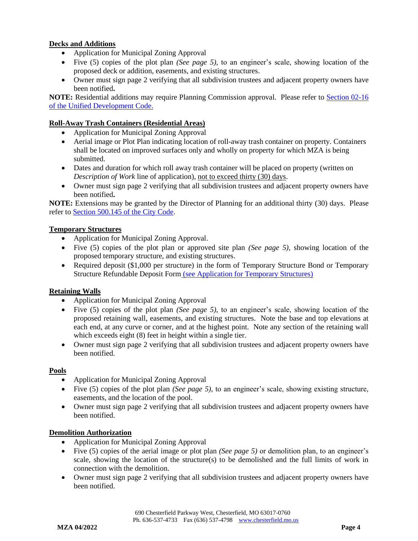### **Decks and Additions**

- Application for Municipal Zoning Approval
- Five (5) copies of the plot plan *(See page 5)*, to an engineer's scale, showing location of the proposed deck or addition, easements, and existing structures.
- Owner must sign page 2 verifying that all subdivision trustees and adjacent property owners have been notified**.**

**NOTE:** Residential additions may require Planning Commission approval. Please refer to **Section 02-16** [of the Unified Development Code.](https://www.ecode360.com/35256031)

#### **Roll-Away Trash Containers (Residential Areas)**

- Application for Municipal Zoning Approval
- Aerial image or Plot Plan indicating location of roll-away trash container on property. Containers shall be located on improved surfaces only and wholly on property for which MZA is being submitted.
- Dates and duration for which roll away trash container will be placed on property (written on *Description of Work* line of application), not to exceed thirty (30) days.
- Owner must sign page 2 verifying that all subdivision trustees and adjacent property owners have been notified**.**

**NOTE:** Extensions may be granted by the Director of Planning for an additional thirty (30) days. Please refer to [Section 500.145](https://www.ecode360.com/35951272) of the City Code.

#### **Temporary Structures**

- Application for Municipal Zoning Approval.
- Five (5) copies of the plot plan or approved site plan *(See page 5)*, showing location of the proposed temporary structure, and existing structures.
- Required deposit (\$1,000 per structure) in the form of Temporary Structure Bond or Temporary Structure Refundable Deposit Form [\(see Application for Temporary Structures\)](https://www.chesterfield.mo.us/webcontent/forms/Planning/Temporary_Structures.pdf)

### **Retaining Walls**

- Application for Municipal Zoning Approval
- Five (5) copies of the plot plan *(See page 5)*, to an engineer's scale, showing location of the proposed retaining wall, easements, and existing structures. Note the base and top elevations at each end, at any curve or corner, and at the highest point. Note any section of the retaining wall which exceeds eight (8) feet in height within a single tier.
- Owner must sign page 2 verifying that all subdivision trustees and adjacent property owners have been notified.

#### **Pools**

- Application for Municipal Zoning Approval
- Five (5) copies of the plot plan *(See page 5)*, to an engineer's scale, showing existing structure, easements, and the location of the pool.
- Owner must sign page 2 verifying that all subdivision trustees and adjacent property owners have been notified.

#### **Demolition Authorization**

- Application for Municipal Zoning Approval
- Five (5) copies of the aerial image or plot plan *(See page 5)* or demolition plan, to an engineer's scale, showing the location of the structure(s) to be demolished and the full limits of work in connection with the demolition.
- Owner must sign page 2 verifying that all subdivision trustees and adjacent property owners have been notified.